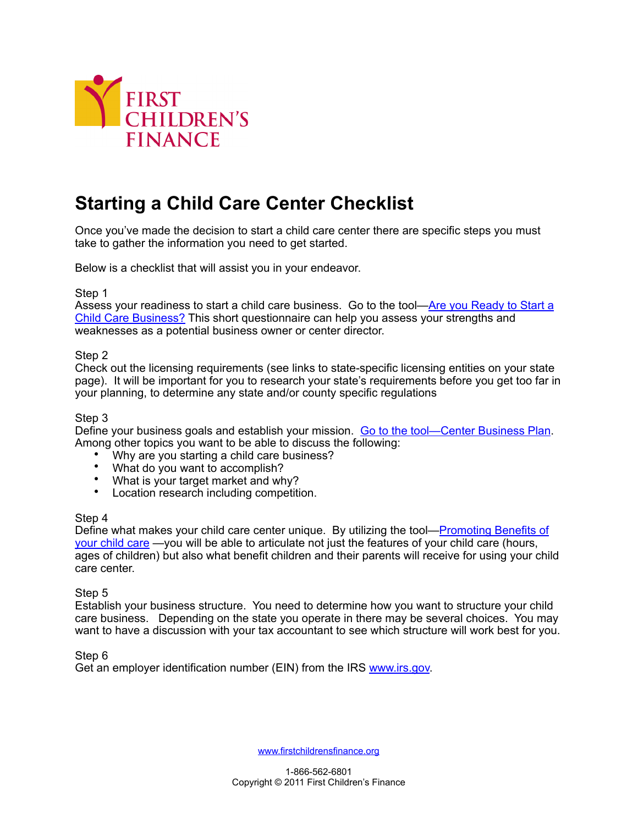

# **Starting a Child Care Center Checklist**

Once you've made the decision to start a child care center there are specific steps you must take to gather the information you need to get started.

Below is a checklist that will assist you in your endeavor.

#### Step 1

Assess your readiness to start a child care business. Go to the tool[—Are you Ready to Start a](http://www.firstchildrensfinance.org/businessresourcecenter/wp-content/blogs.dir/2/files/2012/02/Tool-Are-you-Ready-to-Start-a-Child-Care-Business.pdf)  [Child Care Business?](http://www.firstchildrensfinance.org/businessresourcecenter/wp-content/blogs.dir/2/files/2012/02/Tool-Are-you-Ready-to-Start-a-Child-Care-Business.pdf) This short questionnaire can help you assess your strengths and weaknesses as a potential business owner or center director.

#### Step 2

Check out the licensing requirements (see links to state-specific licensing entities on your state page). It will be important for you to research your state's requirements before you get too far in your planning, to determine any state and/or county specific regulations

#### Step 3

Define your business goals and establish your mission. [Go to the tool—Center Business Plan.](http://www.firstchildrensfinance.org/businessresourcecenter/wp-content/blogs.dir/2/files/2012/02/Outline-for-Center-Business-Plan.doc) Among other topics you want to be able to discuss the following:

- Why are you starting a child care business?
- What do you want to accomplish?
- What is your target market and why?
- Location research including competition.

#### Step 4

Define what makes your child care center unique. By utilizing the tool—[Promoting Benefits of](http://www.firstchildrensfinance.org/businessresourcecenter/wp-content/blogs.dir/2/files/2011/01/Tool-Promoting-the-Benefits.doc)  [your child care](http://www.firstchildrensfinance.org/businessresourcecenter/wp-content/blogs.dir/2/files/2011/01/Tool-Promoting-the-Benefits.doc) —you will be able to articulate not just the features of your child care (hours, ages of children) but also what benefit children and their parents will receive for using your child care center.

#### Step 5

Establish your business structure. You need to determine how you want to structure your child care business. Depending on the state you operate in there may be several choices. You may want to have a discussion with your tax accountant to see which structure will work best for you.

#### Step 6

Get an employer identification number (EIN) from the IRS [www.irs.gov.](http://www.irs.gov)

[www.firstchildrensfinance.org](http://www.firstchildrensfinance.org)

1-866-562-6801 Copyright © 2011 First Children's Finance